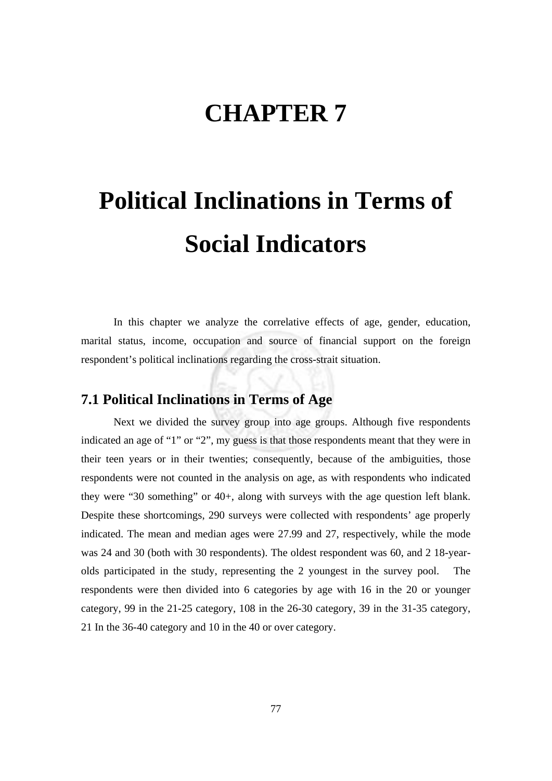## **CHAPTER 7**

# **Political Inclinations in Terms of Social Indicators**

In this chapter we analyze the correlative effects of age, gender, education, marital status, income, occupation and source of financial support on the foreign respondent's political inclinations regarding the cross-strait situation.

#### **7.1 Political Inclinations in Terms of Age**

 Next we divided the survey group into age groups. Although five respondents indicated an age of "1" or "2", my guess is that those respondents meant that they were in their teen years or in their twenties; consequently, because of the ambiguities, those respondents were not counted in the analysis on age, as with respondents who indicated they were "30 something" or 40+, along with surveys with the age question left blank. Despite these shortcomings, 290 surveys were collected with respondents' age properly indicated. The mean and median ages were 27.99 and 27, respectively, while the mode was 24 and 30 (both with 30 respondents). The oldest respondent was 60, and 2 18-yearolds participated in the study, representing the 2 youngest in the survey pool. The respondents were then divided into 6 categories by age with 16 in the 20 or younger category, 99 in the 21-25 category, 108 in the 26-30 category, 39 in the 31-35 category, 21 In the 36-40 category and 10 in the 40 or over category.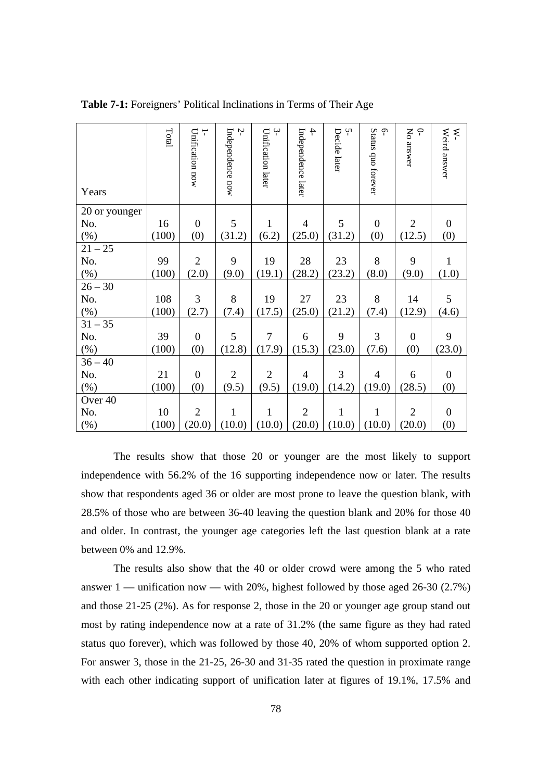| Years         | Total | $\overline{\phantom{0}}$<br>Unification now | Ņ<br>Independence now | $\mathfrak{S}$<br>Unification later | $\ddot{+}$<br>Independence later | Ņ<br>Decide later | 6-<br>Status quo forever | $\varphi$<br>No answer | Weird answer<br>$\tilde{\mathbf{x}}$ |
|---------------|-------|---------------------------------------------|-----------------------|-------------------------------------|----------------------------------|-------------------|--------------------------|------------------------|--------------------------------------|
| 20 or younger |       |                                             |                       |                                     |                                  |                   |                          |                        |                                      |
| No.           | 16    | $\boldsymbol{0}$                            | 5                     | 1                                   | $\overline{4}$                   | 5                 | $\boldsymbol{0}$         | $\overline{2}$         | $\boldsymbol{0}$                     |
| $(\%)$        | (100) | (0)                                         | (31.2)                | (6.2)                               | (25.0)                           | (31.2)            | (0)                      | (12.5)                 | (0)                                  |
| $21 - 25$     |       |                                             |                       |                                     |                                  |                   |                          |                        |                                      |
| No.           | 99    | $\overline{2}$                              | 9                     | 19                                  | 28                               | 23                | 8                        | 9                      | $\mathbf{1}$                         |
| $(\%)$        | (100) | (2.0)                                       | (9.0)                 | (19.1)                              | (28.2)                           | (23.2)            | (8.0)                    | (9.0)                  | (1.0)                                |
| $26 - 30$     |       |                                             |                       |                                     |                                  |                   |                          |                        |                                      |
| No.           | 108   | 3                                           | 8                     | 19                                  | 27                               | 23                | 8                        | 14                     | 5                                    |
| $(\%)$        | (100) | (2.7)                                       | (7.4)                 | (17.5)                              | (25.0)                           | (21.2)            | (7.4)                    | (12.9)                 | (4.6)                                |
| $31 - 35$     |       |                                             |                       |                                     |                                  |                   |                          |                        |                                      |
| No.           | 39    | $\boldsymbol{0}$                            | 5                     | 7                                   | 6                                | 9                 | 3                        | $\boldsymbol{0}$       | 9                                    |
| (%)           | (100) | (0)                                         | (12.8)                | (17.9)                              | (15.3)                           | (23.0)            | (7.6)                    | (0)                    | (23.0)                               |
| $36 - 40$     |       |                                             |                       |                                     |                                  |                   |                          |                        |                                      |
| No.           | 21    | $\boldsymbol{0}$                            | $\overline{2}$        | $\overline{2}$                      | $\overline{4}$                   | 3                 | $\overline{4}$           | 6                      | $\overline{0}$                       |
| $(\%)$        | (100) | (0)                                         | (9.5)                 | (9.5)                               | (19.0)                           | (14.2)            | (19.0)                   | (28.5)                 | (0)                                  |
| Over 40       |       |                                             |                       |                                     |                                  |                   |                          |                        |                                      |
| No.           | 10    | $\overline{2}$                              | $\mathbf{1}$          | $\mathbf{1}$                        | $\overline{2}$                   | $\mathbf{1}$      | $\mathbf{1}$             | $\overline{2}$         | $\boldsymbol{0}$                     |
| (%)           | (100) | (20.0)                                      | (10.0)                | (10.0)                              | (20.0)                           | (10.0)            | (10.0)                   | (20.0)                 | (0)                                  |

**Table 7-1:** Foreigners' Political Inclinations in Terms of Their Age

 The results show that those 20 or younger are the most likely to support independence with 56.2% of the 16 supporting independence now or later. The results show that respondents aged 36 or older are most prone to leave the question blank, with 28.5% of those who are between 36-40 leaving the question blank and 20% for those 40 and older. In contrast, the younger age categories left the last question blank at a rate between 0% and 12.9%.

The results also show that the 40 or older crowd were among the 5 who rated answer 1 **—** unification now **—** with 20%, highest followed by those aged 26-30 (2.7%) and those 21-25 (2%). As for response 2, those in the 20 or younger age group stand out most by rating independence now at a rate of 31.2% (the same figure as they had rated status quo forever), which was followed by those 40, 20% of whom supported option 2. For answer 3, those in the 21-25, 26-30 and 31-35 rated the question in proximate range with each other indicating support of unification later at figures of 19.1%, 17.5% and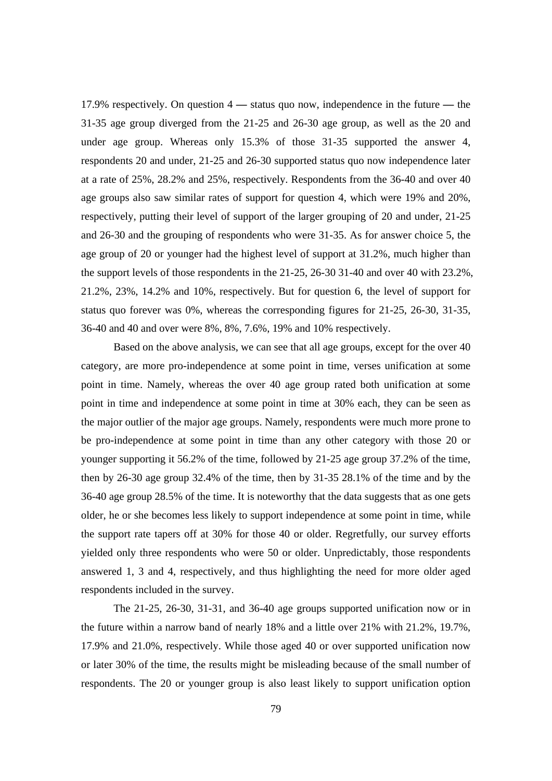17.9% respectively. On question 4 **—** status quo now, independence in the future **—** the 31-35 age group diverged from the 21-25 and 26-30 age group, as well as the 20 and under age group. Whereas only 15.3% of those 31-35 supported the answer 4, respondents 20 and under, 21-25 and 26-30 supported status quo now independence later at a rate of 25%, 28.2% and 25%, respectively. Respondents from the 36-40 and over 40 age groups also saw similar rates of support for question 4, which were 19% and 20%, respectively, putting their level of support of the larger grouping of 20 and under, 21-25 and 26-30 and the grouping of respondents who were 31-35. As for answer choice 5, the age group of 20 or younger had the highest level of support at 31.2%, much higher than the support levels of those respondents in the 21-25, 26-30 31-40 and over 40 with 23.2%, 21.2%, 23%, 14.2% and 10%, respectively. But for question 6, the level of support for status quo forever was 0%, whereas the corresponding figures for 21-25, 26-30, 31-35, 36-40 and 40 and over were 8%, 8%, 7.6%, 19% and 10% respectively.

 Based on the above analysis, we can see that all age groups, except for the over 40 category, are more pro-independence at some point in time, verses unification at some point in time. Namely, whereas the over 40 age group rated both unification at some point in time and independence at some point in time at 30% each, they can be seen as the major outlier of the major age groups. Namely, respondents were much more prone to be pro-independence at some point in time than any other category with those 20 or younger supporting it 56.2% of the time, followed by 21-25 age group 37.2% of the time, then by 26-30 age group 32.4% of the time, then by 31-35 28.1% of the time and by the 36-40 age group 28.5% of the time. It is noteworthy that the data suggests that as one gets older, he or she becomes less likely to support independence at some point in time, while the support rate tapers off at 30% for those 40 or older. Regretfully, our survey efforts yielded only three respondents who were 50 or older. Unpredictably, those respondents answered 1, 3 and 4, respectively, and thus highlighting the need for more older aged respondents included in the survey.

The 21-25, 26-30, 31-31, and 36-40 age groups supported unification now or in the future within a narrow band of nearly 18% and a little over 21% with 21.2%, 19.7%, 17.9% and 21.0%, respectively. While those aged 40 or over supported unification now or later 30% of the time, the results might be misleading because of the small number of respondents. The 20 or younger group is also least likely to support unification option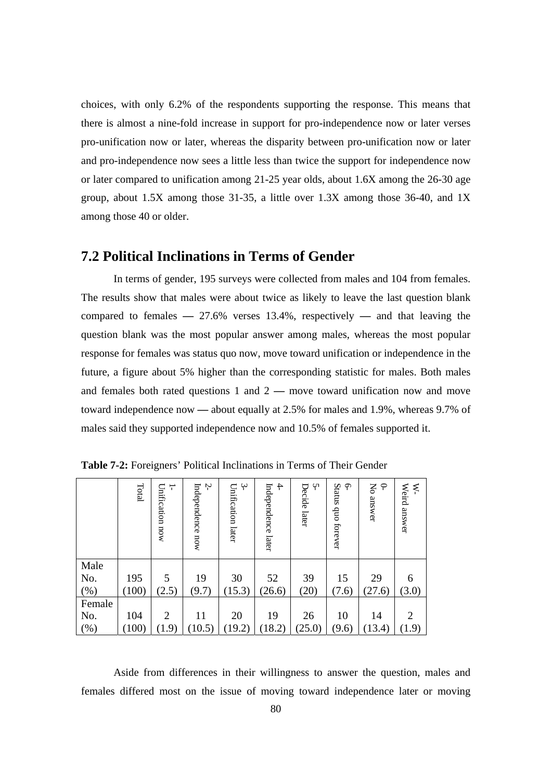choices, with only 6.2% of the respondents supporting the response. This means that there is almost a nine-fold increase in support for pro-independence now or later verses pro-unification now or later, whereas the disparity between pro-unification now or later and pro-independence now sees a little less than twice the support for independence now or later compared to unification among 21-25 year olds, about 1.6X among the 26-30 age group, about 1.5X among those 31-35, a little over 1.3X among those 36-40, and 1X among those 40 or older.

#### **7.2 Political Inclinations in Terms of Gender**

 In terms of gender, 195 surveys were collected from males and 104 from females. The results show that males were about twice as likely to leave the last question blank compared to females **—** 27.6% verses 13.4%, respectively **—** and that leaving the question blank was the most popular answer among males, whereas the most popular response for females was status quo now, move toward unification or independence in the future, a figure about 5% higher than the corresponding statistic for males. Both males and females both rated questions 1 and 2 **—** move toward unification now and move toward independence now **—** about equally at 2.5% for males and 1.9%, whereas 9.7% of males said they supported independence now and 10.5% of females supported it.

|         | Total | Unification now<br>÷ | Ņ<br>Independence now | $\ddot{ }$<br>Unification later | $\ddot{+}$<br>Independence<br>later | Ņ<br>Decide later | Status<br>$\varphi$<br>$\rm dno$<br>forever | $\varphi$<br>Š<br>answer | ₹<br>Weird answer |
|---------|-------|----------------------|-----------------------|---------------------------------|-------------------------------------|-------------------|---------------------------------------------|--------------------------|-------------------|
| Male    |       |                      |                       |                                 |                                     |                   |                                             |                          |                   |
| No.     | 195   | 5                    | 19                    | 30                              | 52                                  | 39                | 15                                          | 29                       | 6                 |
| $(\% )$ | 100)  | (2.5)                | (9.7)                 | (15.3)                          | (26.6)                              | (20)              | (7.6)                                       | (27.6)                   | (3.0)             |
| Female  |       |                      |                       |                                 |                                     |                   |                                             |                          |                   |
| No.     | 104   | $\overline{2}$       | 11                    | 20                              | 19                                  | 26                | 10                                          | 14                       | $\overline{2}$    |
| $(\%)$  | 100)  | (1.9)                | (10.5)                | (19.2)                          | (18.2)                              | (25.0)            | (9.6)                                       | (13.4)                   | (1.9)             |

**Table 7-2:** Foreigners' Political Inclinations in Terms of Their Gender

 Aside from differences in their willingness to answer the question, males and females differed most on the issue of moving toward independence later or moving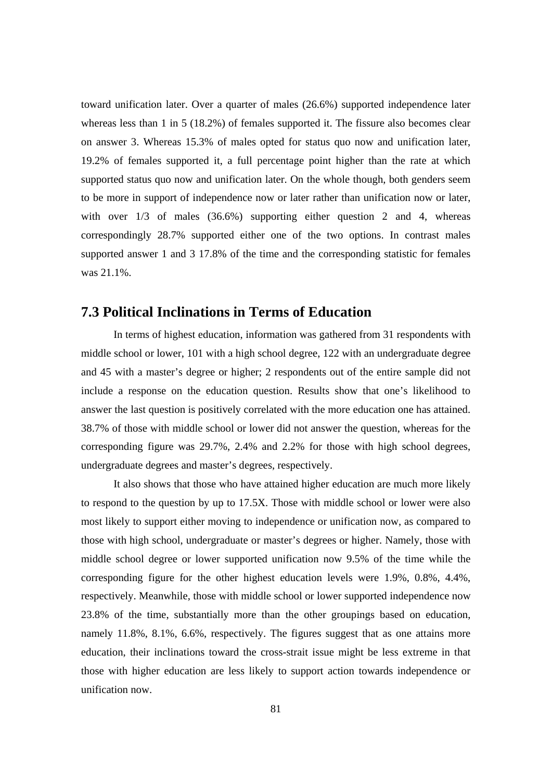toward unification later. Over a quarter of males (26.6%) supported independence later whereas less than 1 in 5 (18.2%) of females supported it. The fissure also becomes clear on answer 3. Whereas 15.3% of males opted for status quo now and unification later, 19.2% of females supported it, a full percentage point higher than the rate at which supported status quo now and unification later. On the whole though, both genders seem to be more in support of independence now or later rather than unification now or later, with over  $1/3$  of males  $(36.6%)$  supporting either question 2 and 4, whereas correspondingly 28.7% supported either one of the two options. In contrast males supported answer 1 and 3 17.8% of the time and the corresponding statistic for females was 21.1%.

#### **7.3 Political Inclinations in Terms of Education**

 In terms of highest education, information was gathered from 31 respondents with middle school or lower, 101 with a high school degree, 122 with an undergraduate degree and 45 with a master's degree or higher; 2 respondents out of the entire sample did not include a response on the education question. Results show that one's likelihood to answer the last question is positively correlated with the more education one has attained. 38.7% of those with middle school or lower did not answer the question, whereas for the corresponding figure was 29.7%, 2.4% and 2.2% for those with high school degrees, undergraduate degrees and master's degrees, respectively.

It also shows that those who have attained higher education are much more likely to respond to the question by up to 17.5X. Those with middle school or lower were also most likely to support either moving to independence or unification now, as compared to those with high school, undergraduate or master's degrees or higher. Namely, those with middle school degree or lower supported unification now 9.5% of the time while the corresponding figure for the other highest education levels were 1.9%, 0.8%, 4.4%, respectively. Meanwhile, those with middle school or lower supported independence now 23.8% of the time, substantially more than the other groupings based on education, namely 11.8%, 8.1%, 6.6%, respectively. The figures suggest that as one attains more education, their inclinations toward the cross-strait issue might be less extreme in that those with higher education are less likely to support action towards independence or unification now.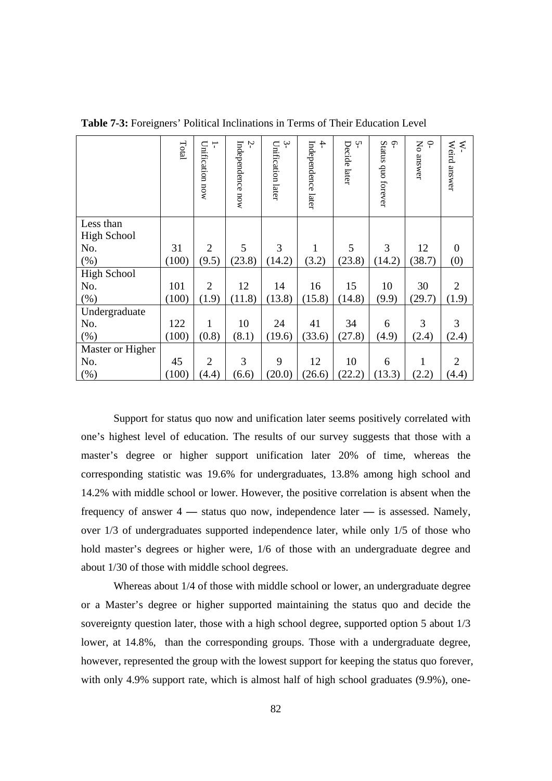|                    | Total | Unification now<br>T | Ņ<br>Independence now | ب<br>Unification later | $\ddot{+}$<br>Independence later | Y١<br>Decide later | $\varphi$<br>Status quo forever | Š<br>P<br>answer | Weird answer<br>⋞ |
|--------------------|-------|----------------------|-----------------------|------------------------|----------------------------------|--------------------|---------------------------------|------------------|-------------------|
| Less than          |       |                      |                       |                        |                                  |                    |                                 |                  |                   |
| <b>High School</b> |       |                      |                       |                        |                                  |                    |                                 |                  |                   |
| No.                | 31    | $\overline{2}$       | 5                     | 3                      | 1                                | 5                  | 3                               | 12               | $\theta$          |
| (%)                | (100) | (9.5)                | (23.8)                | (14.2)                 | (3.2)                            | (23.8)             | (14.2)                          | (38.7)           | (0)               |
| <b>High School</b> |       |                      |                       |                        |                                  |                    |                                 |                  |                   |
| No.                | 101   | $\overline{2}$       | 12                    | 14                     | 16                               | 15                 | 10                              | 30               | 2                 |
| (%)                | (100) | (1.9)                | (11.8)                | (13.8)                 | (15.8)                           | (14.8)             | (9.9)                           | (29.7)           | (1.9)             |
| Undergraduate      |       |                      |                       |                        |                                  |                    |                                 |                  |                   |
| No.                | 122   | 1                    | 10                    | 24                     | 41                               | 34                 | 6                               | 3                | 3                 |
| (%)                | (100) | (0.8)                | (8.1)                 | (19.6)                 | (33.6)                           | (27.8)             | (4.9)                           | (2.4)            | (2.4)             |
| Master or Higher   |       |                      |                       |                        |                                  |                    |                                 |                  |                   |
| No.                | 45    | $\overline{2}$       | 3                     | 9                      | 12                               | 10                 | 6                               | 1                | 2                 |
| (%)                | (100) | (4.4)                | (6.6)                 | (20.0)                 | (26.6)                           | (22.2)             | (13.3)                          | (2.2)            | (4.4)             |

**Table 7-3:** Foreigners' Political Inclinations in Terms of Their Education Level

 Support for status quo now and unification later seems positively correlated with one's highest level of education. The results of our survey suggests that those with a master's degree or higher support unification later 20% of time, whereas the corresponding statistic was 19.6% for undergraduates, 13.8% among high school and 14.2% with middle school or lower. However, the positive correlation is absent when the frequency of answer 4 **—** status quo now, independence later **—** is assessed. Namely, over 1/3 of undergraduates supported independence later, while only 1/5 of those who hold master's degrees or higher were, 1/6 of those with an undergraduate degree and about 1/30 of those with middle school degrees.

 Whereas about 1/4 of those with middle school or lower, an undergraduate degree or a Master's degree or higher supported maintaining the status quo and decide the sovereignty question later, those with a high school degree, supported option 5 about 1/3 lower, at  $14.8\%$ , than the corresponding groups. Those with a undergraduate degree, however, represented the group with the lowest support for keeping the status quo forever, with only 4.9% support rate, which is almost half of high school graduates  $(9.9\%)$ , one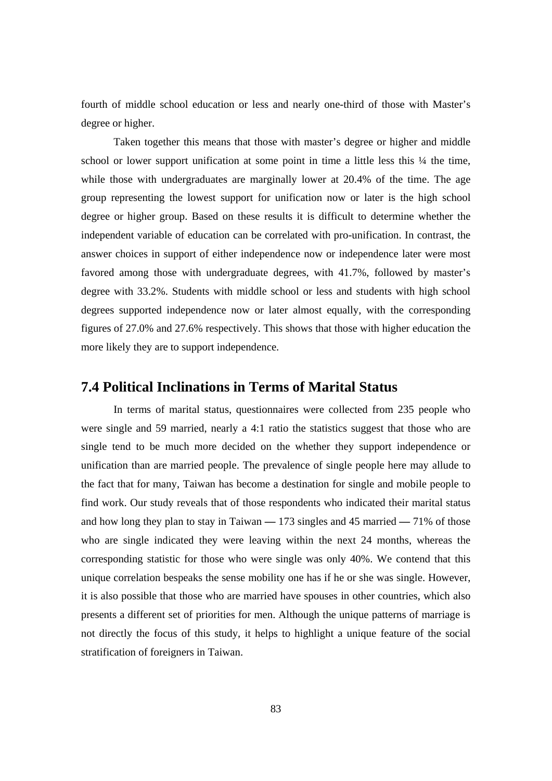fourth of middle school education or less and nearly one-third of those with Master's degree or higher.

 Taken together this means that those with master's degree or higher and middle school or lower support unification at some point in time a little less this  $\frac{1}{4}$  the time, while those with undergraduates are marginally lower at 20.4% of the time. The age group representing the lowest support for unification now or later is the high school degree or higher group. Based on these results it is difficult to determine whether the independent variable of education can be correlated with pro-unification. In contrast, the answer choices in support of either independence now or independence later were most favored among those with undergraduate degrees, with 41.7%, followed by master's degree with 33.2%. Students with middle school or less and students with high school degrees supported independence now or later almost equally, with the corresponding figures of 27.0% and 27.6% respectively. This shows that those with higher education the more likely they are to support independence.

#### **7.4 Political Inclinations in Terms of Marital Status**

 In terms of marital status, questionnaires were collected from 235 people who were single and 59 married, nearly a 4:1 ratio the statistics suggest that those who are single tend to be much more decided on the whether they support independence or unification than are married people. The prevalence of single people here may allude to the fact that for many, Taiwan has become a destination for single and mobile people to find work. Our study reveals that of those respondents who indicated their marital status and how long they plan to stay in Taiwan **—** 173 singles and 45 married **—** 71% of those who are single indicated they were leaving within the next 24 months, whereas the corresponding statistic for those who were single was only 40%. We contend that this unique correlation bespeaks the sense mobility one has if he or she was single. However, it is also possible that those who are married have spouses in other countries, which also presents a different set of priorities for men. Although the unique patterns of marriage is not directly the focus of this study, it helps to highlight a unique feature of the social stratification of foreigners in Taiwan.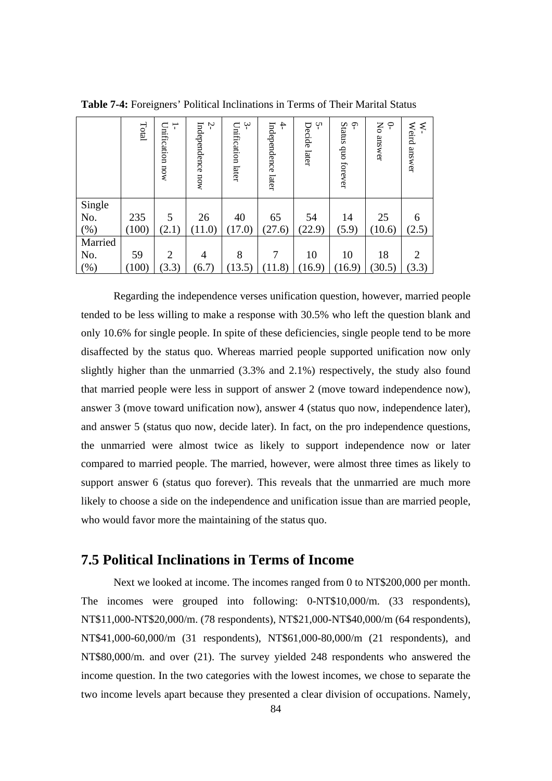|         | Total | ∸<br>Unification now | Ņ<br>Independence now | $\sim$<br>Unification later | $\ddot{}$<br>Independence<br>later | Ļ٨<br>Decide later | Status<br>Ģ<br>quo forever | $\varphi$<br>Ķ<br>answer | ⋞<br>Weird answer |
|---------|-------|----------------------|-----------------------|-----------------------------|------------------------------------|--------------------|----------------------------|--------------------------|-------------------|
| Single  |       |                      |                       |                             |                                    |                    |                            |                          |                   |
| No.     | 235   | 5                    | 26                    | 40                          | 65                                 | 54                 | 14                         | 25                       | 6                 |
| $(\%)$  | (100) | (2.1)                | (11.0)                | (17.0)                      | (27.6)                             | (22.9)             | (5.9)                      | (10.6)                   | (2.5)             |
| Married |       |                      |                       |                             |                                    |                    |                            |                          |                   |
| No.     | 59    | 2                    | 4                     | 8                           |                                    | 10                 | 10                         | 18                       | 2                 |
| $(\%)$  | (100) | (3.3)                | (6.7)                 | (13.5)                      | (11.8)                             | (16.9)             | (16.9)                     | (30.5)                   | (3.3)             |

**Table 7-4:** Foreigners' Political Inclinations in Terms of Their Marital Status

 Regarding the independence verses unification question, however, married people tended to be less willing to make a response with 30.5% who left the question blank and only 10.6% for single people. In spite of these deficiencies, single people tend to be more disaffected by the status quo. Whereas married people supported unification now only slightly higher than the unmarried (3.3% and 2.1%) respectively, the study also found that married people were less in support of answer 2 (move toward independence now), answer 3 (move toward unification now), answer 4 (status quo now, independence later), and answer 5 (status quo now, decide later). In fact, on the pro independence questions, the unmarried were almost twice as likely to support independence now or later compared to married people. The married, however, were almost three times as likely to support answer 6 (status quo forever). This reveals that the unmarried are much more likely to choose a side on the independence and unification issue than are married people, who would favor more the maintaining of the status quo.

#### **7.5 Political Inclinations in Terms of Income**

 Next we looked at income. The incomes ranged from 0 to NT\$200,000 per month. The incomes were grouped into following: 0-NT\$10,000/m. (33 respondents), NT\$11,000-NT\$20,000/m. (78 respondents), NT\$21,000-NT\$40,000/m (64 respondents), NT\$41,000-60,000/m (31 respondents), NT\$61,000-80,000/m (21 respondents), and NT\$80,000/m. and over (21). The survey yielded 248 respondents who answered the income question. In the two categories with the lowest incomes, we chose to separate the two income levels apart because they presented a clear division of occupations. Namely,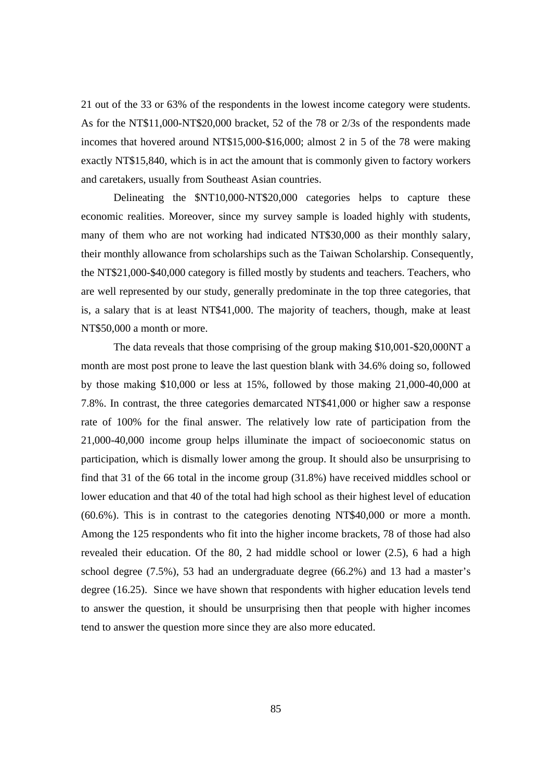21 out of the 33 or 63% of the respondents in the lowest income category were students. As for the NT\$11,000-NT\$20,000 bracket, 52 of the 78 or 2/3s of the respondents made incomes that hovered around NT\$15,000-\$16,000; almost 2 in 5 of the 78 were making exactly NT\$15,840, which is in act the amount that is commonly given to factory workers and caretakers, usually from Southeast Asian countries.

Delineating the \$NT10,000-NT\$20,000 categories helps to capture these economic realities. Moreover, since my survey sample is loaded highly with students, many of them who are not working had indicated NT\$30,000 as their monthly salary, their monthly allowance from scholarships such as the Taiwan Scholarship. Consequently, the NT\$21,000-\$40,000 category is filled mostly by students and teachers. Teachers, who are well represented by our study, generally predominate in the top three categories, that is, a salary that is at least NT\$41,000. The majority of teachers, though, make at least NT\$50,000 a month or more.

 The data reveals that those comprising of the group making \$10,001-\$20,000NT a month are most post prone to leave the last question blank with 34.6% doing so, followed by those making \$10,000 or less at 15%, followed by those making 21,000-40,000 at 7.8%. In contrast, the three categories demarcated NT\$41,000 or higher saw a response rate of 100% for the final answer. The relatively low rate of participation from the 21,000-40,000 income group helps illuminate the impact of socioeconomic status on participation, which is dismally lower among the group. It should also be unsurprising to find that 31 of the 66 total in the income group (31.8%) have received middles school or lower education and that 40 of the total had high school as their highest level of education (60.6%). This is in contrast to the categories denoting NT\$40,000 or more a month. Among the 125 respondents who fit into the higher income brackets, 78 of those had also revealed their education. Of the 80, 2 had middle school or lower (2.5), 6 had a high school degree (7.5%), 53 had an undergraduate degree (66.2%) and 13 had a master's degree (16.25). Since we have shown that respondents with higher education levels tend to answer the question, it should be unsurprising then that people with higher incomes tend to answer the question more since they are also more educated.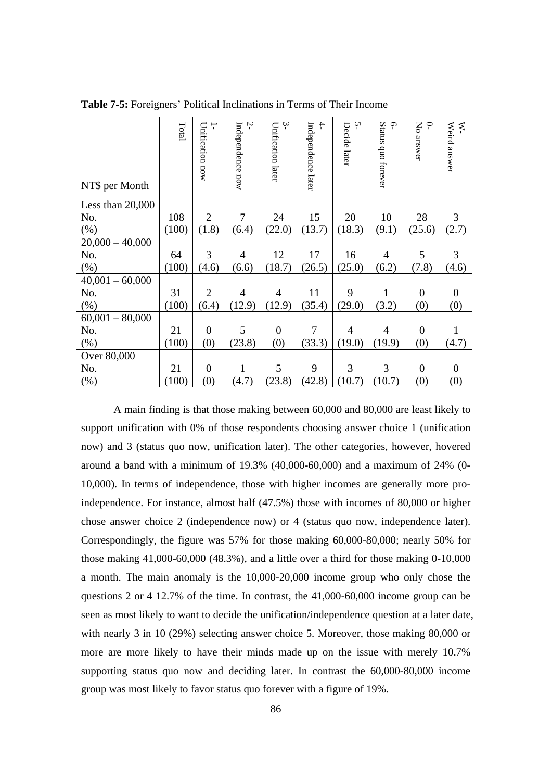| NT\$ per Month     | $\rm Total$ | Unification now<br>T | $\tilde{z}$<br>Independence now | $\ddot{ }$<br>Unification later | $\ddot{+}$<br>Independence later | Ņ<br>Decide later | $\gamma$<br>Status quo forever | $\mathsf{S}% _{0}^{X\rightarrow\mathsf{S}}\left( \mathsf{S}\right)$<br>P<br>answer | Weird answer<br>⋞ |
|--------------------|-------------|----------------------|---------------------------------|---------------------------------|----------------------------------|-------------------|--------------------------------|------------------------------------------------------------------------------------|-------------------|
| Less than $20,000$ |             |                      |                                 |                                 |                                  |                   |                                |                                                                                    |                   |
| No.                | 108         | $\overline{2}$       | $\tau$                          | 24                              | 15                               | 20                | 10                             | 28                                                                                 | 3                 |
| $(\%)$             | (100)       | (1.8)                | (6.4)                           | (22.0)                          | (13.7)                           | (18.3)            | (9.1)                          | (25.6)                                                                             | (2.7)             |
| $20,000 - 40,000$  |             |                      |                                 |                                 |                                  |                   |                                |                                                                                    |                   |
| No.                | 64          | 3                    | 4                               | 12                              | 17                               | 16                | 4                              | 5                                                                                  | 3                 |
| $(\% )$            | (100)       | (4.6)                | (6.6)                           | (18.7)                          | (26.5)                           | (25.0)            | (6.2)                          | (7.8)                                                                              | (4.6)             |
| $40,001 - 60,000$  |             |                      |                                 |                                 |                                  |                   |                                |                                                                                    |                   |
| No.                | 31          | $\overline{2}$       | $\overline{4}$                  | $\overline{4}$                  | 11                               | 9                 | 1                              | $\overline{0}$                                                                     | $\theta$          |
| $(\%)$             | (100)       | (6.4)                | (12.9)                          | (12.9)                          | (35.4)                           | (29.0)            | (3.2)                          | (0)                                                                                | (0)               |
| $60,001 - 80,000$  |             |                      |                                 |                                 |                                  |                   |                                |                                                                                    |                   |
| No.                | 21          | $\overline{0}$       | 5                               | $\overline{0}$                  | 7                                | 4                 | 4                              | $\overline{0}$                                                                     |                   |
| (% )               | (100)       | (0)                  | (23.8)                          | (0)                             | (33.3)                           | (19.0)            | (19.9)                         | (0)                                                                                | (4.7)             |
| Over 80,000        |             |                      |                                 |                                 |                                  |                   |                                |                                                                                    |                   |
| No.                | 21          | $\theta$             | 1                               | 5                               | 9                                | 3                 | 3                              | $\overline{0}$                                                                     | $\Omega$          |
| (% )               | (100)       | (0)                  | (4.7)                           | (23.8)                          | (42.8)                           | (10.7)            | (10.7)                         | (0)                                                                                | (0)               |

**Table 7-5:** Foreigners' Political Inclinations in Terms of Their Income

A main finding is that those making between 60,000 and 80,000 are least likely to support unification with 0% of those respondents choosing answer choice 1 (unification now) and 3 (status quo now, unification later). The other categories, however, hovered around a band with a minimum of 19.3% (40,000-60,000) and a maximum of 24% (0- 10,000). In terms of independence, those with higher incomes are generally more proindependence. For instance, almost half (47.5%) those with incomes of 80,000 or higher chose answer choice 2 (independence now) or 4 (status quo now, independence later). Correspondingly, the figure was 57% for those making 60,000-80,000; nearly 50% for those making  $41,000-60,000$  (48.3%), and a little over a third for those making  $0-10,000$ a month. The main anomaly is the 10,000-20,000 income group who only chose the questions 2 or 4 12.7% of the time. In contrast, the 41,000-60,000 income group can be seen as most likely to want to decide the unification/independence question at a later date, with nearly 3 in 10 (29%) selecting answer choice 5. Moreover, those making 80,000 or more are more likely to have their minds made up on the issue with merely 10.7% supporting status quo now and deciding later. In contrast the 60,000-80,000 income group was most likely to favor status quo forever with a figure of 19%.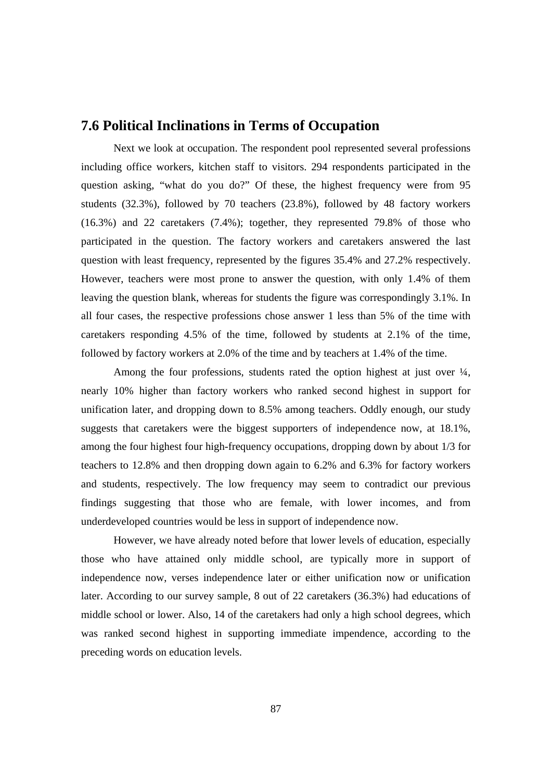#### **7.6 Political Inclinations in Terms of Occupation**

 Next we look at occupation. The respondent pool represented several professions including office workers, kitchen staff to visitors. 294 respondents participated in the question asking, "what do you do?" Of these, the highest frequency were from 95 students (32.3%), followed by 70 teachers (23.8%), followed by 48 factory workers (16.3%) and 22 caretakers (7.4%); together, they represented 79.8% of those who participated in the question. The factory workers and caretakers answered the last question with least frequency, represented by the figures 35.4% and 27.2% respectively. However, teachers were most prone to answer the question, with only 1.4% of them leaving the question blank, whereas for students the figure was correspondingly 3.1%. In all four cases, the respective professions chose answer 1 less than 5% of the time with caretakers responding 4.5% of the time, followed by students at 2.1% of the time, followed by factory workers at 2.0% of the time and by teachers at 1.4% of the time.

Among the four professions, students rated the option highest at just over ¼, nearly 10% higher than factory workers who ranked second highest in support for unification later, and dropping down to 8.5% among teachers. Oddly enough, our study suggests that caretakers were the biggest supporters of independence now, at 18.1%, among the four highest four high-frequency occupations, dropping down by about 1/3 for teachers to 12.8% and then dropping down again to 6.2% and 6.3% for factory workers and students, respectively. The low frequency may seem to contradict our previous findings suggesting that those who are female, with lower incomes, and from underdeveloped countries would be less in support of independence now.

However, we have already noted before that lower levels of education, especially those who have attained only middle school, are typically more in support of independence now, verses independence later or either unification now or unification later. According to our survey sample, 8 out of 22 caretakers (36.3%) had educations of middle school or lower. Also, 14 of the caretakers had only a high school degrees, which was ranked second highest in supporting immediate impendence, according to the preceding words on education levels.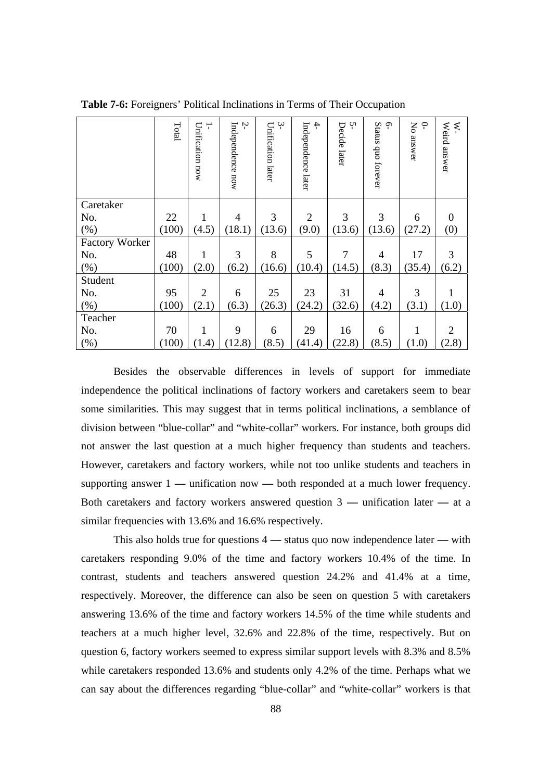|                       | Total | ┬<br>Unification now | Ņ<br>Independence now | $\ddot{\gamma}$<br>Unification later | $\ddot{}$<br>Independence later | Ņ<br>Decide later | Status quo forever<br><b>م</b> ۔ | Ķ<br>$\varphi$<br>answer | Weird answer<br>⋞ |
|-----------------------|-------|----------------------|-----------------------|--------------------------------------|---------------------------------|-------------------|----------------------------------|--------------------------|-------------------|
| Caretaker             |       |                      |                       |                                      |                                 |                   |                                  |                          |                   |
| No.                   | 22    | 1                    | 4                     | 3                                    | $\overline{2}$                  | 3                 | 3                                | 6                        | $\Omega$          |
| $(\% )$               | (100) | (4.5)                | (18.1)                | (13.6)                               | (9.0)                           | (13.6)            | (13.6)                           | (27.2)                   | (0)               |
| <b>Factory Worker</b> |       |                      |                       |                                      |                                 |                   |                                  |                          |                   |
| No.                   | 48    | 1                    | 3                     | 8                                    | 5                               | $\overline{7}$    | 4                                | 17                       | 3                 |
| (%)                   | (100) | (2.0)                | (6.2)                 | (16.6)                               | (10.4)                          | (14.5)            | (8.3)                            | (35.4)                   | (6.2)             |
| Student               |       |                      |                       |                                      |                                 |                   |                                  |                          |                   |
| No.                   | 95    | $\overline{2}$       | 6                     | 25                                   | 23                              | 31                | $\overline{4}$                   | 3                        |                   |
| (%)                   | (100) | (2.1)                | (6.3)                 | (26.3)                               | (24.2)                          | (32.6)            | (4.2)                            | (3.1)                    | (1.0)             |
| Teacher               |       |                      |                       |                                      |                                 |                   |                                  |                          |                   |
| No.                   | 70    | 1                    | 9                     | 6                                    | 29                              | 16                | 6                                | 1                        | $\overline{2}$    |
| (% )                  | (100) | (1.4)                | (12.8)                | (8.5)                                | (41.4)                          | (22.8)            | (8.5)                            | (1.0)                    | (2.8)             |

**Table 7-6:** Foreigners' Political Inclinations in Terms of Their Occupation

Besides the observable differences in levels of support for immediate independence the political inclinations of factory workers and caretakers seem to bear some similarities. This may suggest that in terms political inclinations, a semblance of division between "blue-collar" and "white-collar" workers. For instance, both groups did not answer the last question at a much higher frequency than students and teachers. However, caretakers and factory workers, while not too unlike students and teachers in supporting answer 1 **—** unification now **—** both responded at a much lower frequency. Both caretakers and factory workers answered question 3 **—** unification later **—** at a similar frequencies with 13.6% and 16.6% respectively.

This also holds true for questions 4 **—** status quo now independence later **—** with caretakers responding 9.0% of the time and factory workers 10.4% of the time. In contrast, students and teachers answered question 24.2% and 41.4% at a time, respectively. Moreover, the difference can also be seen on question 5 with caretakers answering 13.6% of the time and factory workers 14.5% of the time while students and teachers at a much higher level, 32.6% and 22.8% of the time, respectively. But on question 6, factory workers seemed to express similar support levels with 8.3% and 8.5% while caretakers responded 13.6% and students only 4.2% of the time. Perhaps what we can say about the differences regarding "blue-collar" and "white-collar" workers is that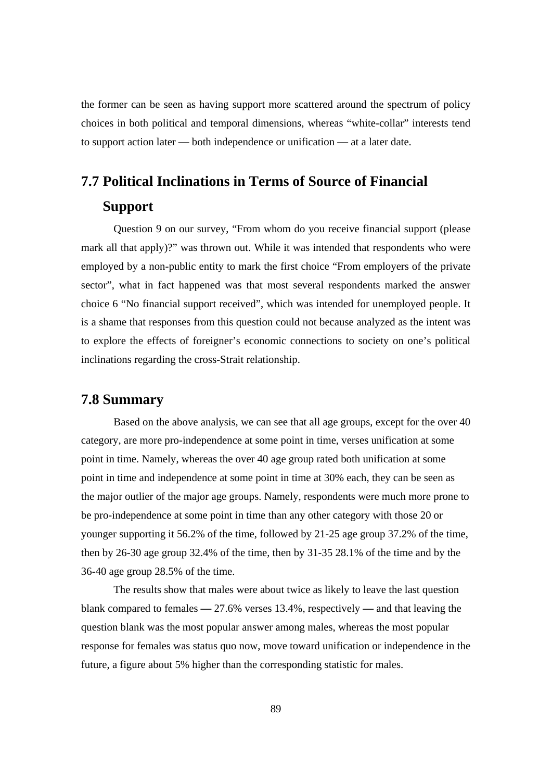the former can be seen as having support more scattered around the spectrum of policy choices in both political and temporal dimensions, whereas "white-collar" interests tend to support action later **—** both independence or unification **—** at a later date.

### **7.7 Political Inclinations in Terms of Source of Financial Support**

 Question 9 on our survey, "From whom do you receive financial support (please mark all that apply)?" was thrown out. While it was intended that respondents who were employed by a non-public entity to mark the first choice "From employers of the private sector", what in fact happened was that most several respondents marked the answer choice 6 "No financial support received", which was intended for unemployed people. It is a shame that responses from this question could not because analyzed as the intent was to explore the effects of foreigner's economic connections to society on one's political inclinations regarding the cross-Strait relationship.

#### **7.8 Summary**

Based on the above analysis, we can see that all age groups, except for the over 40 category, are more pro-independence at some point in time, verses unification at some point in time. Namely, whereas the over 40 age group rated both unification at some point in time and independence at some point in time at 30% each, they can be seen as the major outlier of the major age groups. Namely, respondents were much more prone to be pro-independence at some point in time than any other category with those 20 or younger supporting it 56.2% of the time, followed by 21-25 age group 37.2% of the time, then by 26-30 age group 32.4% of the time, then by 31-35 28.1% of the time and by the 36-40 age group 28.5% of the time.

The results show that males were about twice as likely to leave the last question blank compared to females **—** 27.6% verses 13.4%, respectively **—** and that leaving the question blank was the most popular answer among males, whereas the most popular response for females was status quo now, move toward unification or independence in the future, a figure about 5% higher than the corresponding statistic for males.